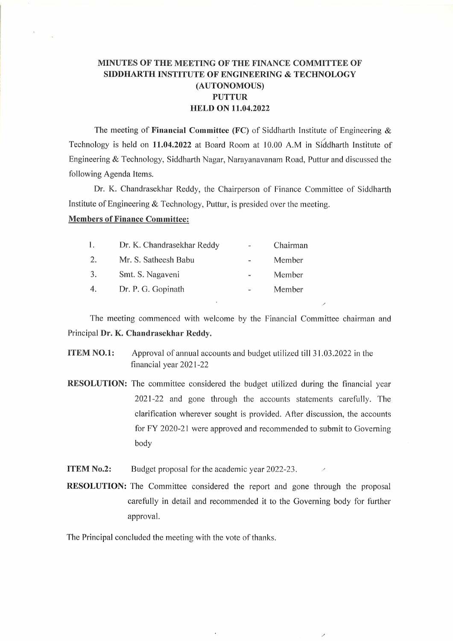## MINUTES OF THE MEETING OF THE FINANCE COMMITTEE OF SIDDHARTH INSTITUTE OF ENGINEERING & TECHNOLOGY (AUTONOMOUS) PUTTUR HBLD ON 11.04.2022

The meeting of Financial Committee (FC) of Siddharth Institute of Engineering  $\&$ Technology is held on 11.04.2022 at Board Room at 10.00 A.M in Siddharth Institute of Engineering & Technology, Siddharth Nagar, Narayanavanam Road, Puttur and discussed the following Agenda Items.

Dr. K. Chandrasekhar Reddy, the Chairperson of Finance Committee of Siddharth Institute of Engineering & Technology, Puttur, is presided over the meeting.

## Members of Finance Committee:

| l. | Dr. K. Chandrasekhar Reddy | $\frac{1}{2}$ | Chairman |
|----|----------------------------|---------------|----------|
| 2. | Mr. S. Satheesh Babu       |               | Member   |
| 3. | Smt. S. Nagaveni           |               | Member   |
| 4. | Dr. P. G. Gopinath         | a.            | Member   |

The meeting commenced with welcome by the Financial Committee chairman and Principal Dr. K. Chandrasekhar Reddy.

- ITEM NO.l: Approval of annual accounts and budget utilized till 31.03.2022 in the financial year 2021-22
- RESOLUTION: The committee considered the budget utilized during the financial year 2021-22 and gone through the accounts statements carefully. The clarification wherever sought is provided. After discussion, the accounts for FY 2020-21 were approved and recommended to submit to Governing body
- ITEM No.2: Budget proposal for the academic year 2022-23.
- RESOLUTION: The Committee considered the report and gone through the proposa carefully in detail and recommended it to the Governing body for further approval.

The Principal concluded the meeting with the vote of thanks.